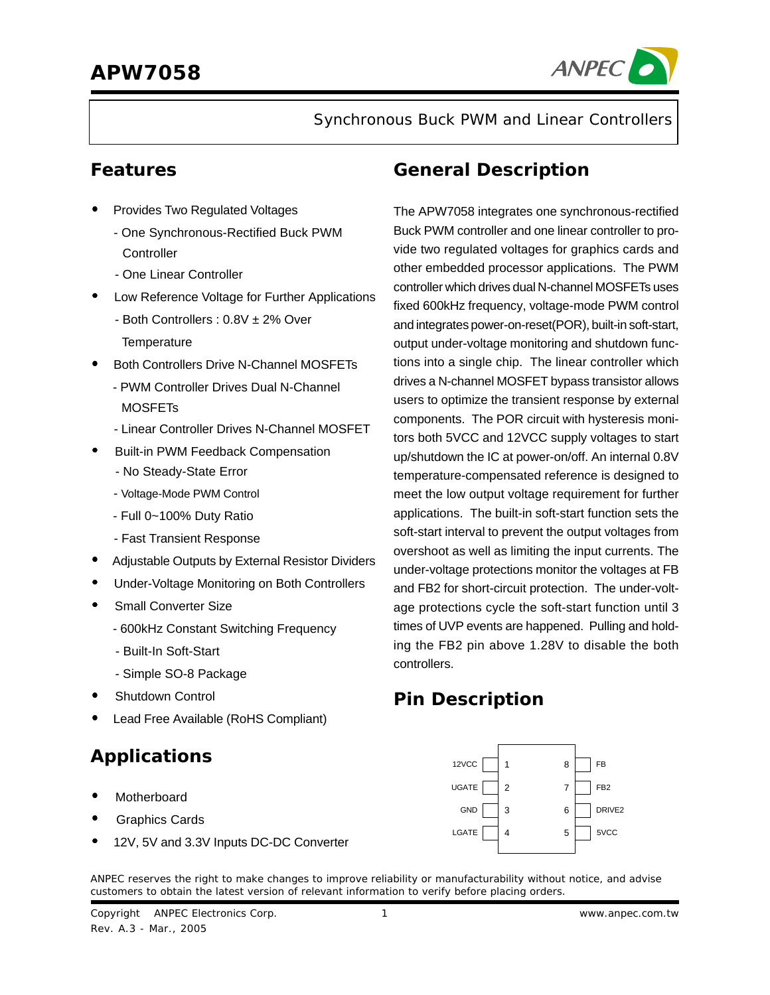

Synchronous Buck PWM and Linear Controllers

### **Features**

- Provides Two Regulated Voltages
	- One Synchronous-Rectified Buck PWM **Controller**
	- One Linear Controller
- Low Reference Voltage for Further Applications
	- Both Controllers : 0.8V ± 2% Over **Temperature**
- Both Controllers Drive N-Channel MOSFETs
	- PWM Controller Drives Dual N-Channel **MOSFET<sub>s</sub>**
	- Linear Controller Drives N-Channel MOSFET
- Built-in PWM Feedback Compensation
	- No Steady-State Error
	- Voltage-Mode PWM Control
	- Full 0~100% Duty Ratio
	- Fast Transient Response
- Adjustable Outputs by External Resistor Dividers
- Under-Voltage Monitoring on Both Controllers
- Small Converter Size
	- 600kHz Constant Switching Frequency
	- Built-In Soft-Start
	- Simple SO-8 Package
- **Shutdown Control**
- Lead Free Available (RoHS Compliant)

# **Applications**

- **Motherboard**
- Graphics Cards
- 12V, 5V and 3.3V Inputs DC-DC Converter

### **General Description**

The APW7058 integrates one synchronous-rectified Buck PWM controller and one linear controller to provide two regulated voltages for graphics cards and other embedded processor applications. The PWM controller which drives dual N-channel MOSFETs uses fixed 600kHz frequency, voltage-mode PWM control and integrates power-on-reset(POR), built-in soft-start, output under-voltage monitoring and shutdown functions into a single chip. The linear controller which drives a N-channel MOSFET bypass transistor allows users to optimize the transient response by external components. The POR circuit with hysteresis monitors both 5VCC and 12VCC supply voltages to start up/shutdown the IC at power-on/off. An internal 0.8V temperature-compensated reference is designed to meet the low output voltage requirement for further applications. The built-in soft-start function sets the soft-start interval to prevent the output voltages from overshoot as well as limiting the input currents. The under-voltage protections monitor the voltages at FB and FB2 for short-circuit protection. The under-voltage protections cycle the soft-start function until 3 times of UVP events are happened. Pulling and holding the FB2 pin above 1.28V to disable the both controllers.

### **Pin Description**



ANPEC reserves the right to make changes to improve reliability or manufacturability without notice, and advise customers to obtain the latest version of relevant information to verify before placing orders.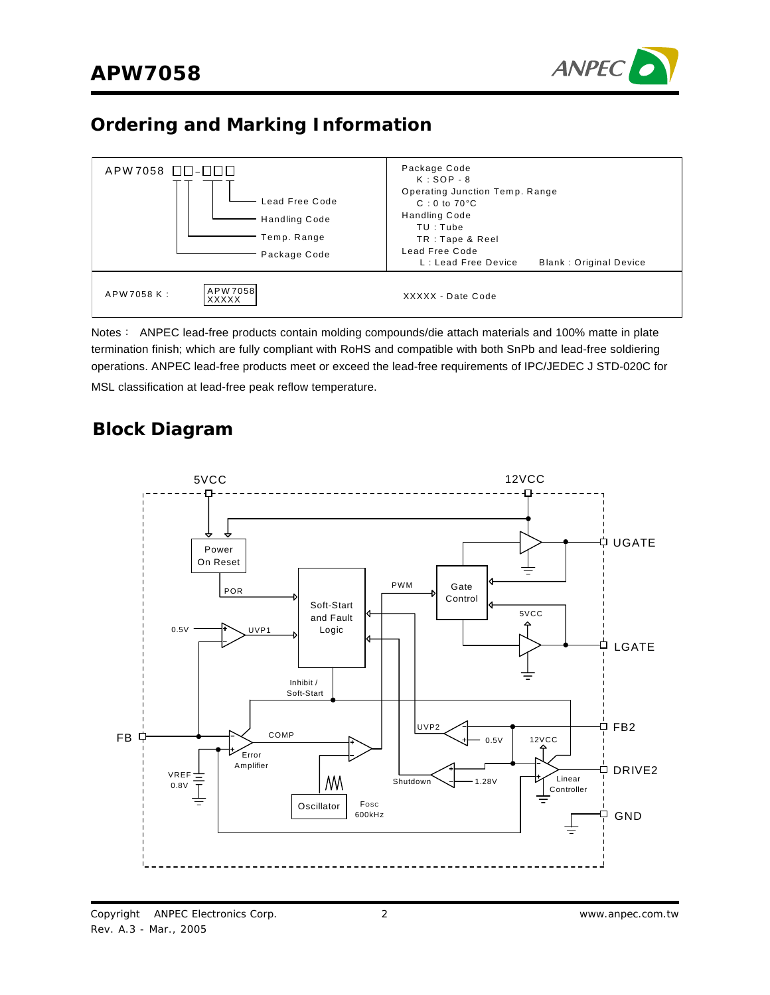

## **Ordering and Marking Information**



Notes: ANPEC lead-free products contain molding compounds/die attach materials and 100% matte in plate termination finish; which are fully compliant with RoHS and compatible with both SnPb and lead-free soldiering operations. ANPEC lead-free products meet or exceed the lead-free requirements of IPC/JEDEC J STD-020C for MSL classification at lead-free peak reflow temperature.

### **Block Diagram**

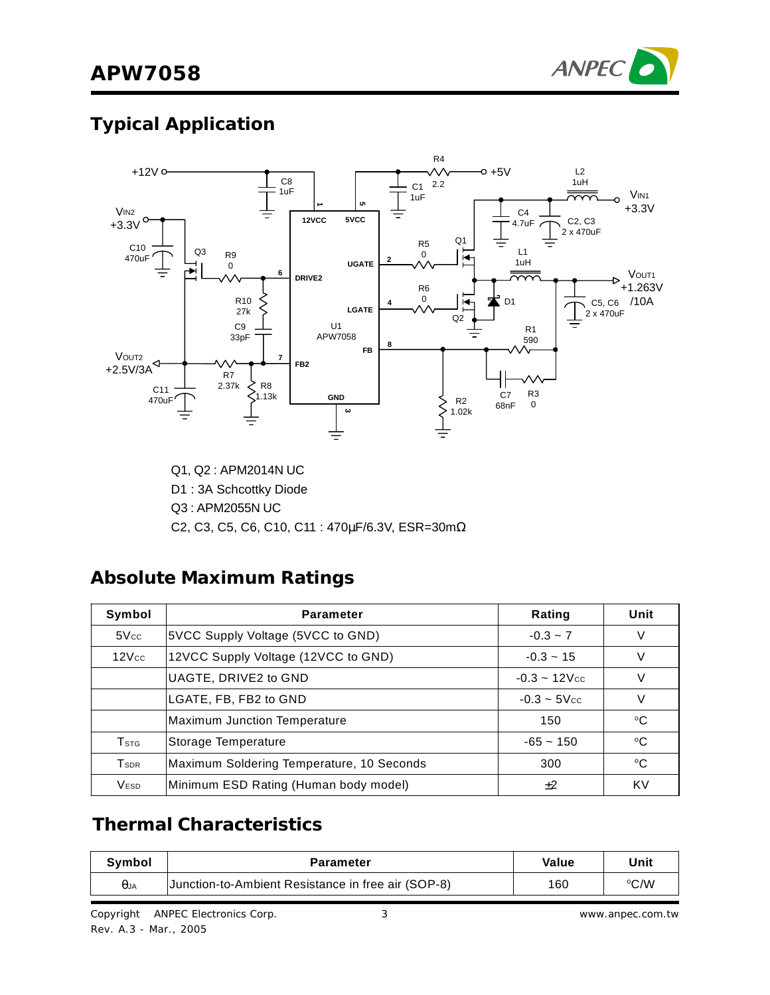

# **Typical Application**



Q1, Q2 : APM2014N UC D1 : 3A Schcottky Diode Q3 : APM2055N UC C2, C3, C5, C6, C10, C11 : 470µF/6.3V, ESR=30mΩ

### **Absolute Maximum Ratings**

| Symbol                  | <b>Parameter</b>                          | Rating                      | Unit        |
|-------------------------|-------------------------------------------|-----------------------------|-------------|
| 5Vec                    | 5VCC Supply Voltage (5VCC to GND)         | $-0.3 - 7$                  |             |
| $12$ $Vcc$              | 12VCC Supply Voltage (12VCC to GND)       | $-0.3 - 15$                 |             |
|                         | UAGTE, DRIVE2 to GND                      | $-0.3 - 12$ V <sub>cc</sub> |             |
|                         | LGATE, FB, FB2 to GND                     | $-0.3 - 5$ V <sub>cc</sub>  |             |
|                         | <b>Maximum Junction Temperature</b>       | 150                         | °C          |
| <b>T</b> stg            | Storage Temperature                       | $-65 - 150$                 | $^{\circ}C$ |
| <b>T</b> <sub>sdr</sub> | Maximum Soldering Temperature, 10 Seconds | 300                         | °C          |
| <b>VESD</b>             | Minimum ESD Rating (Human body model)     | ±2                          | KV          |

## **Thermal Characteristics**

| Svmbol      | Parameter                                          | Value | Unit |
|-------------|----------------------------------------------------|-------|------|
| $\theta$ JA | Junction-to-Ambient Resistance in free air (SOP-8) | 160   | °C/W |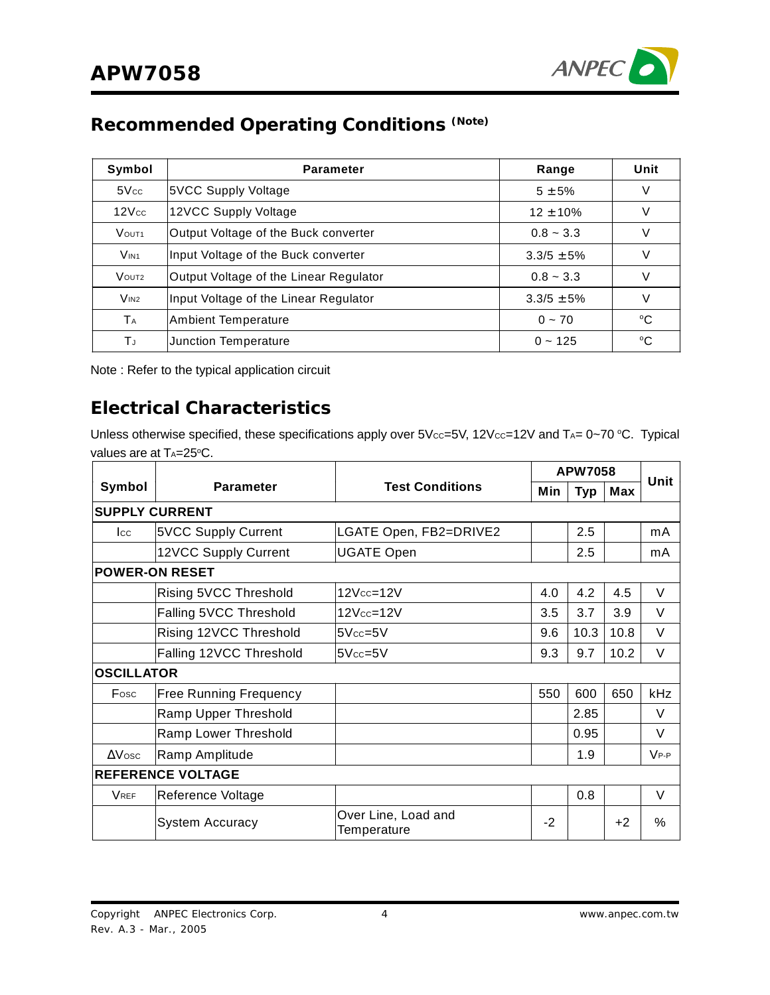

# **Recommended Operating Conditions (Note)**

| Symbol                | <b>Parameter</b>                       | Range          | Unit   |
|-----------------------|----------------------------------------|----------------|--------|
| 5Vec                  | 5VCC Supply Voltage                    | $5 + 5%$       | V      |
| 12Vec                 | 12VCC Supply Voltage                   | $12 \pm 10\%$  | V      |
| VOUT <sub>1</sub>     | Output Voltage of the Buck converter   | $0.8 - 3.3$    | V      |
| V <sub>IN1</sub>      | Input Voltage of the Buck converter    | $3.3/5 \pm 5%$ | $\vee$ |
| VOUT <sub>2</sub>     | Output Voltage of the Linear Regulator | $0.8 - 3.3$    | V      |
| V <sub>IN2</sub>      | Input Voltage of the Linear Regulator  | $3.3/5 \pm 5%$ | V      |
| <b>T</b> <sub>A</sub> | <b>Ambient Temperature</b>             | $0 - 70$       | °C     |
| ΤJ                    | Junction Temperature                   | $0 - 125$      | °C     |

Note : Refer to the typical application circuit

### **Electrical Characteristics**

Unless otherwise specified, these specifications apply over  $5$ V $cc=5$ V, 12V $cc=12$ V and T<sub>A</sub>= 0~70 °C. Typical values are at TA=25°C.

|                   |                               |                                    |      | <b>APW7058</b> |      |               |
|-------------------|-------------------------------|------------------------------------|------|----------------|------|---------------|
| Symbol            | <b>Parameter</b>              | <b>Test Conditions</b>             | Min  | <b>Typ</b>     | Max  | Unit          |
|                   | <b>SUPPLY CURRENT</b>         |                                    |      |                |      |               |
| <b>I</b> cc       | <b>5VCC Supply Current</b>    | LGATE Open, FB2=DRIVE2             |      | 2.5            |      | mA            |
|                   | 12VCC Supply Current          | <b>UGATE Open</b>                  |      | 2.5            |      | mA            |
|                   | <b>POWER-ON RESET</b>         |                                    |      |                |      |               |
|                   | Rising 5VCC Threshold         | 12Vcc=12V                          | 4.0  | 4.2            | 4.5  | V             |
|                   | Falling 5VCC Threshold        | 12Vcc=12V                          | 3.5  | 3.7            | 3.9  | V             |
|                   | Rising 12VCC Threshold        | $5Vec=5V$                          | 9.6  | 10.3           | 10.8 | V             |
|                   | Falling 12VCC Threshold       | $5Vec=5V$                          | 9.3  | 9.7            | 10.2 | V             |
| <b>OSCILLATOR</b> |                               |                                    |      |                |      |               |
| Fosc              | <b>Free Running Frequency</b> |                                    | 550  | 600            | 650  | kHz           |
|                   | Ramp Upper Threshold          |                                    |      | 2.85           |      | V             |
|                   | Ramp Lower Threshold          |                                    |      | 0.95           |      | V             |
| $\Delta$ Vosc     | Ramp Amplitude                |                                    |      | 1.9            |      | $V_{P-P}$     |
|                   | <b>REFERENCE VOLTAGE</b>      |                                    |      |                |      |               |
| <b>VREF</b>       | Reference Voltage             |                                    |      | 0.8            |      | V             |
|                   | <b>System Accuracy</b>        | Over Line, Load and<br>Temperature | $-2$ |                | $+2$ | $\frac{0}{0}$ |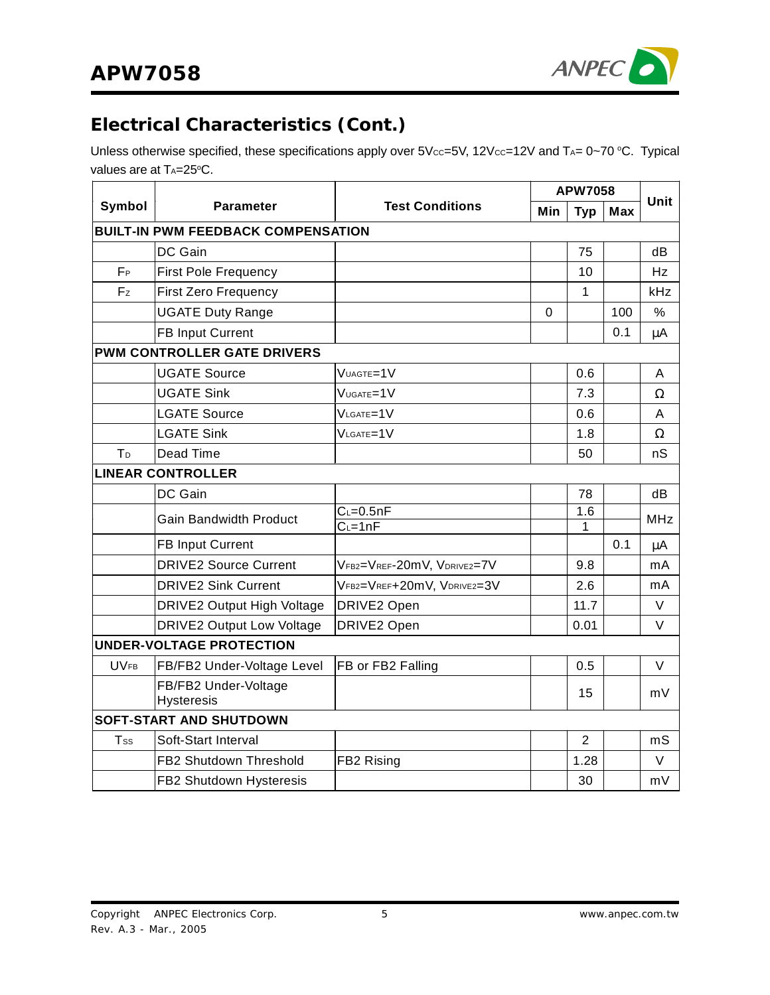

# **Electrical Characteristics (Cont.)**

Unless otherwise specified, these specifications apply over  $5V_{CC} = 5V$ ,  $12V_{CC} = 12V$  and  $T_{A} = 0 \sim 70$  °C. Typical values are at TA=25°C.

|                |                                           |                            | <b>APW7058</b> |                |            | Unit         |
|----------------|-------------------------------------------|----------------------------|----------------|----------------|------------|--------------|
| Symbol         | <b>Parameter</b>                          | <b>Test Conditions</b>     | Min            | <b>Typ</b>     | <b>Max</b> |              |
|                | <b>BUILT-IN PWM FEEDBACK COMPENSATION</b> |                            |                |                |            |              |
|                | DC Gain                                   |                            |                | 75             |            | dВ           |
| FP             | <b>First Pole Frequency</b>               |                            |                | 10             |            | Hz           |
| Fz             | <b>First Zero Frequency</b>               |                            |                | $\mathbf{1}$   |            | kHz          |
|                | <b>UGATE Duty Range</b>                   |                            | 0              |                | 100        | %            |
|                | FB Input Current                          |                            |                |                | 0.1        | μA           |
|                | <b>PWM CONTROLLER GATE DRIVERS</b>        |                            |                |                |            |              |
|                | <b>UGATE Source</b>                       | VUAGTE=1V                  |                | 0.6            |            | A            |
|                | <b>UGATE Sink</b>                         | VUGATE=1V                  |                | 7.3            |            | Ω            |
|                | <b>LGATE Source</b>                       | $V_{LGATE} = 1V$           |                | 0.6            |            | A            |
|                | <b>LGATE Sink</b>                         | VLGATE=1V                  |                | 1.8            |            | Ω            |
| T <sub>D</sub> | Dead Time                                 |                            |                | 50             |            | nS           |
|                | <b>LINEAR CONTROLLER</b>                  |                            |                |                |            |              |
|                | DC Gain                                   |                            |                | 78             |            | dB           |
|                | <b>Gain Bandwidth Product</b>             | $C = 0.5nF$                |                | 1.6            |            | <b>MHz</b>   |
|                | <b>FB Input Current</b>                   | $C = 1nF$                  |                | 1              | 0.1        |              |
|                | <b>DRIVE2 Source Current</b>              |                            |                | 9.8            |            | $\mu$ A      |
|                | <b>DRIVE2 Sink Current</b>                | VFB2=VREF-20mV, VDRIVE2=7V |                |                |            | mA           |
|                |                                           | VFB2=VREF+20mV, VDRIVE2=3V |                | 2.6<br>11.7    |            | mA<br>$\vee$ |
|                | <b>DRIVE2 Output High Voltage</b>         | DRIVE2 Open                |                |                |            | $\vee$       |
|                | <b>DRIVE2 Output Low Voltage</b>          | DRIVE2 Open                |                | 0.01           |            |              |
|                | UNDER-VOLTAGE PROTECTION                  |                            |                |                |            |              |
| <b>UVFB</b>    | FB/FB2 Under-Voltage Level                | FB or FB2 Falling          |                | 0.5            |            | V            |
|                | FB/FB2 Under-Voltage<br><b>Hysteresis</b> |                            |                | 15             |            | mV           |
|                | <b>SOFT-START AND SHUTDOWN</b>            |                            |                |                |            |              |
| Tss            | Soft-Start Interval                       |                            |                | $\overline{2}$ |            | mS           |
|                | FB2 Shutdown Threshold                    | FB2 Rising                 |                | 1.28           |            | V            |
|                | FB2 Shutdown Hysteresis                   |                            |                | 30             |            | mV           |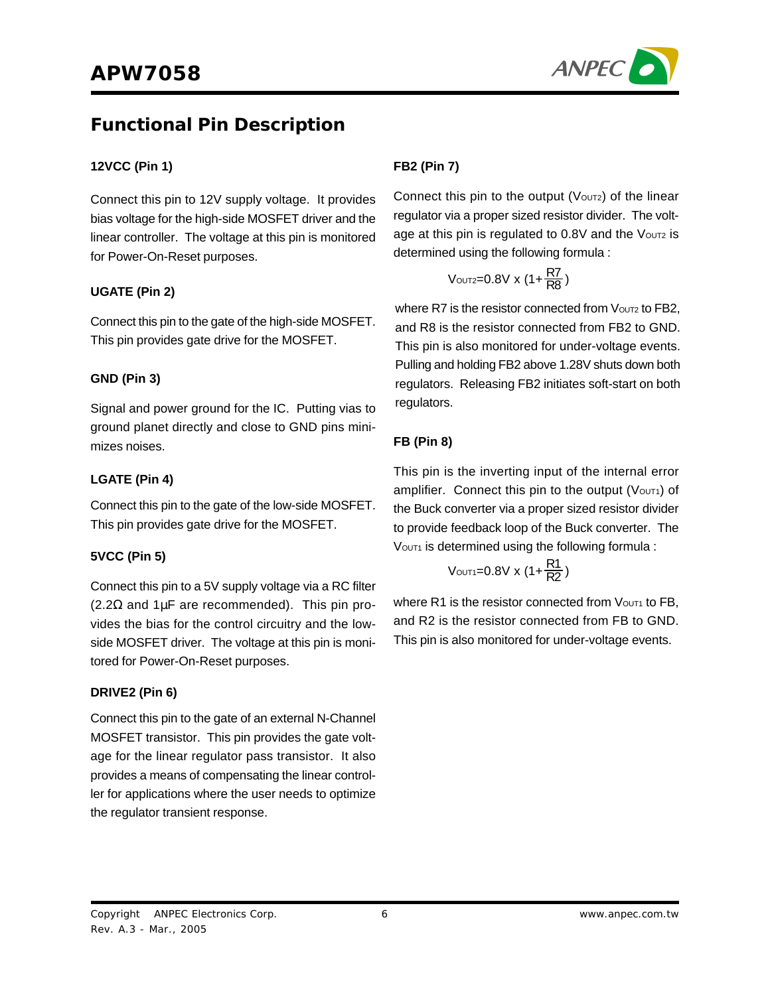

### **Functional Pin Description**

#### **12VCC (Pin 1)**

Connect this pin to 12V supply voltage. It provides bias voltage for the high-side MOSFET driver and the linear controller. The voltage at this pin is monitored for Power-On-Reset purposes.

#### **UGATE (Pin 2)**

Connect this pin to the gate of the high-side MOSFET. This pin provides gate drive for the MOSFET.

#### **GND (Pin 3)**

Signal and power ground for the IC. Putting vias to ground planet directly and close to GND pins minimizes noises.

#### **LGATE (Pin 4)**

Connect this pin to the gate of the low-side MOSFET. This pin provides gate drive for the MOSFET.

#### **5VCC (Pin 5)**

Connect this pin to a 5V supply voltage via a RC filter (2.2Ω and 1µF are recommended). This pin provides the bias for the control circuitry and the lowside MOSFET driver. The voltage at this pin is monitored for Power-On-Reset purposes.

#### **DRIVE2 (Pin 6)**

Connect this pin to the gate of an external N-Channel MOSFET transistor. This pin provides the gate voltage for the linear regulator pass transistor. It also provides a means of compensating the linear controller for applications where the user needs to optimize the regulator transient response.

#### **FB2 (Pin 7)**

Connect this pin to the output  $(V_{\text{OUT2}})$  of the linear regulator via a proper sized resistor divider. The voltage at this pin is regulated to 0.8V and the Voutz is determined using the following formula :

$$
V_{\text{OUT2}=0.8V} \times (1{+}\frac{\text{R7}}{\text{R8}})
$$

where  $R7$  is the resistor connected from  $V_{\text{OUT2}}$  to  $FB2$ . and R8 is the resistor connected from FB2 to GND. This pin is also monitored for under-voltage events. Pulling and holding FB2 above 1.28V shuts down both regulators. Releasing FB2 initiates soft-start on both regulators.

#### **FB (Pin 8)**

This pin is the inverting input of the internal error amplifier. Connect this pin to the output ( $V$ OUT1) of the Buck converter via a proper sized resistor divider to provide feedback loop of the Buck converter. The VOUT1 is determined using the following formula :

$$
V_{\text{OUT1}=0.8V} \times (1{+}\frac{\text{R1}}{\text{R2}})
$$

where R1 is the resistor connected from  $V_{\text{OUT1}}$  to FB, and R2 is the resistor connected from FB to GND. This pin is also monitored for under-voltage events.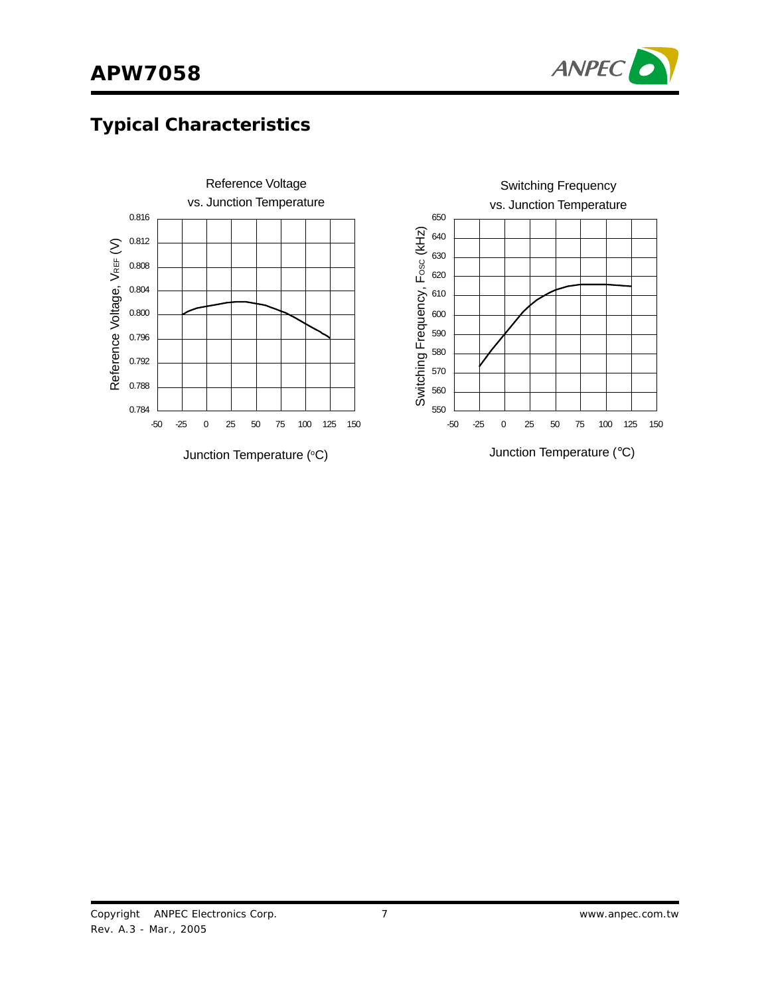

## **Typical Characteristics**

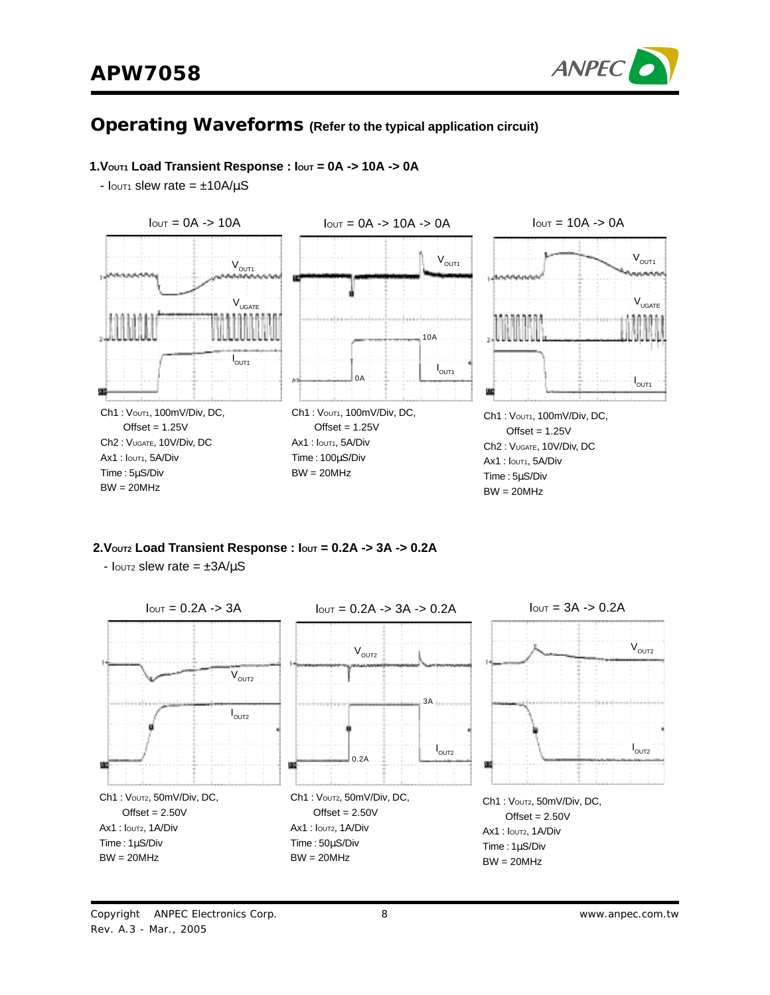

### **Operating Waveforms (Refer to the typical application circuit)**

#### **1.VOUT1 Load Transient Response : IOUT = 0A -> 10A -> 0A**

 $I_{\text{OUT1}}$  slew rate =  $\pm 10A/\mu S$ 



**2.VOUT2 Load Transient Response : IOUT = 0.2A -> 3A -> 0.2A**

 $I_{\text{OUT2}}$  slew rate =  $\pm 3A/\mu S$ 

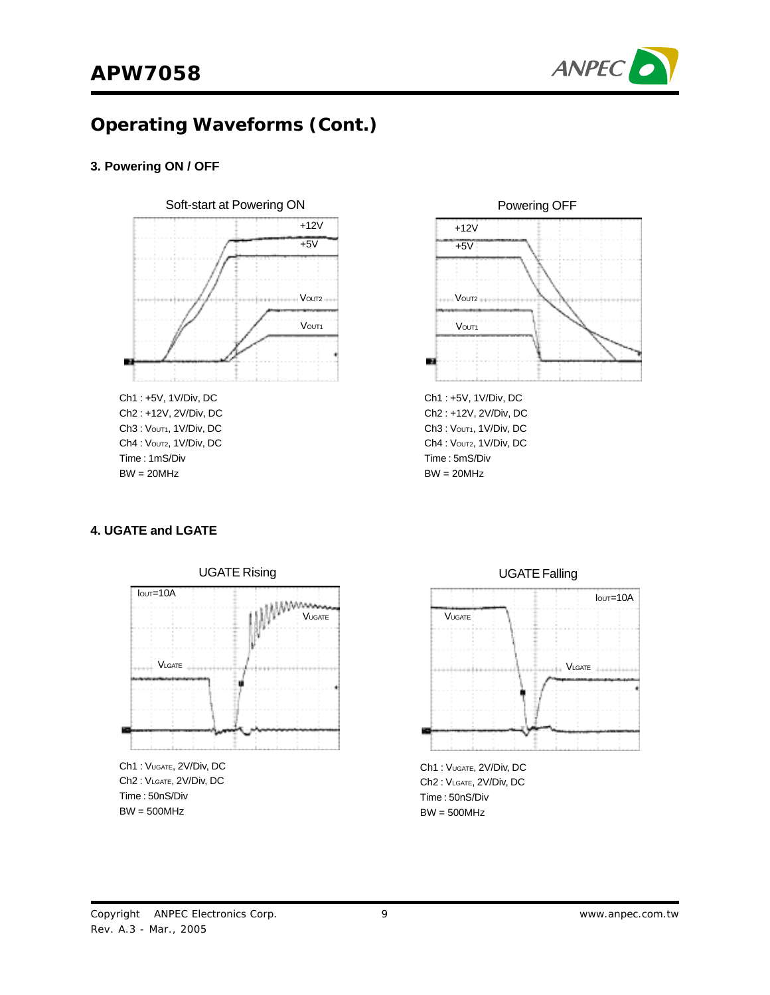



## **Operating Waveforms (Cont.)**

#### **3. Powering ON / OFF**



Ch2 : +12V, 2V/Div, DC Ch3: Vout1, 1V/Div, DC Ch4 : Voutz, 1V/Div, DC Time : 1mS/Div  $BW = 20MHz$ 



Ch3: Vout1, 1V/Div, DC Ch4 : Voutz, 1V/Div, DC Time : 5mS/Div  $BW = 20MHz$ 

#### **4. UGATE and LGATE**



Ch2 : VLGATE, 2V/Div, DC Time : 50nS/Div BW = 500MHz



Ch1 : VUGATE, 2V/Div, DC Ch2 : VLGATE, 2V/Div, DC Time : 50nS/Div BW = 500MHz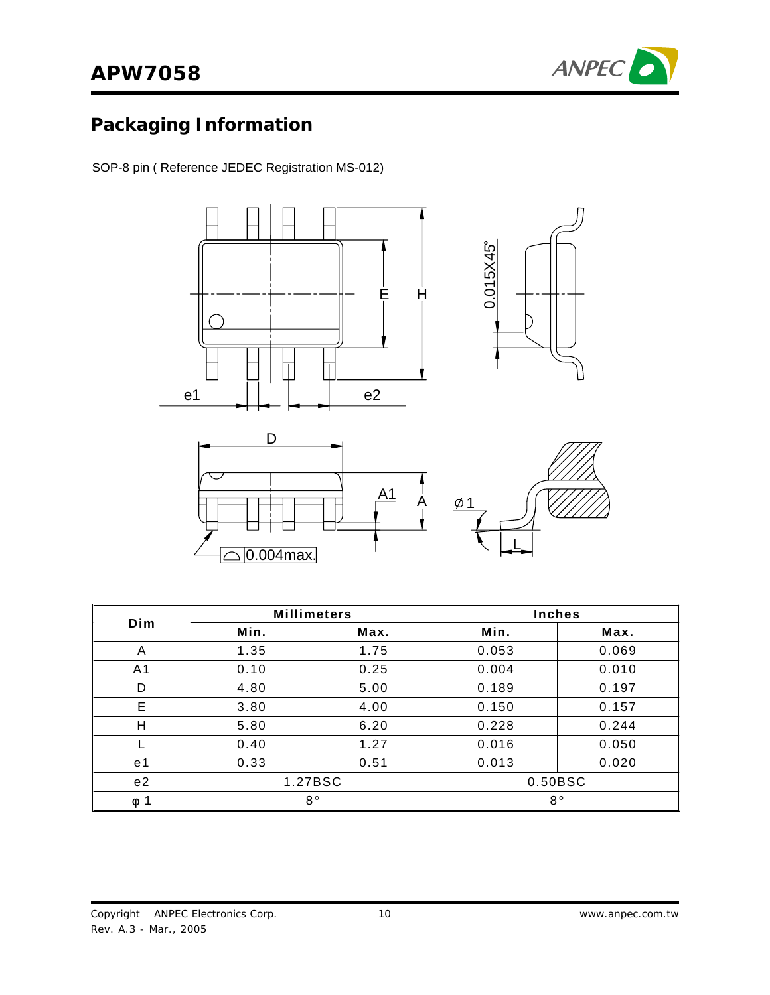

# **Packaging Information**

SOP-8 pin ( Reference JEDEC Registration MS-012)



|                | <b>Millimeters</b> |         | <b>Inches</b> |         |
|----------------|--------------------|---------|---------------|---------|
| Dim            | Min.               | Max.    | Min.          | Max.    |
| A              | 1.35               | 1.75    | 0.053         | 0.069   |
| A <sub>1</sub> | 0.10               | 0.25    | 0.004         | 0.010   |
| D              | 4.80               | 5.00    | 0.189         | 0.197   |
| E              | 3.80               | 4.00    | 0.150         | 0.157   |
| H              | 5.80               | 6.20    | 0.228         | 0.244   |
|                | 0.40               | 1.27    | 0.016         | 0.050   |
| e <sub>1</sub> | 0.33               | 0.51    | 0.013         | 0.020   |
| e2             |                    | 1.27BSC |               | 0.50BSC |
| 1<br>$\phi$    | $8^{\circ}$        |         | $8^{\circ}$   |         |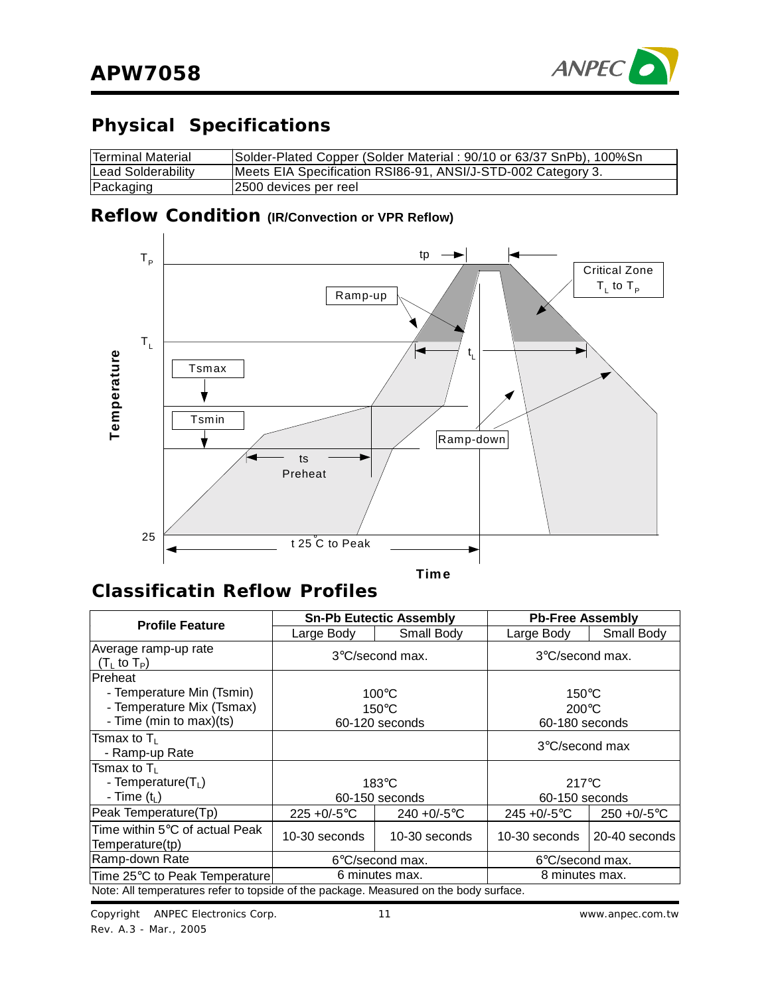

# **Physical Specifications**

| <b>Terminal Material</b> | Solder-Plated Copper (Solder Material: 90/10 or 63/37 SnPb), 100%Sn |
|--------------------------|---------------------------------------------------------------------|
| Lead Solderability       | Meets EIA Specification RSI86-91, ANSI/J-STD-002 Category 3.        |
| Packaging                | 12500 devices per reel                                              |

### **Reflow Condition (IR/Convection or VPR Reflow)**



### **Classificatin Reflow Profiles**

| <b>Profile Feature</b>                                                                       | <b>Sn-Pb Eutectic Assembly</b>                       |                 | <b>Pb-Free Assembly</b>            |                 |                                   |  |
|----------------------------------------------------------------------------------------------|------------------------------------------------------|-----------------|------------------------------------|-----------------|-----------------------------------|--|
|                                                                                              | Large Body                                           | Small Body      | Large Body                         | Small Body      |                                   |  |
| Average ramp-up rate<br>(T <sub>i</sub> to T <sub>P</sub> )                                  | $3^{\circ}$ C/second max.                            |                 | $3^{\circ}$ C/second max.          |                 |                                   |  |
| Preheat<br>- Temperature Min (Tsmin)<br>- Temperature Mix (Tsmax)<br>- Time (min to max)(ts) | $100^{\circ}$ C<br>$150^{\circ}$ C<br>60-120 seconds |                 | $150^{\circ}$ C<br>$200^{\circ}$ C |                 | 60-180 seconds                    |  |
| Tsmax to T∟<br>- Ramp-up Rate                                                                |                                                      |                 | $3^{\circ}$ C/second max           |                 |                                   |  |
| Tsmax to T∟<br>- Temperature $(T_L)$<br>- Time $(t_L)$                                       | $183^\circ C$                                        |                 | 60-150 seconds                     |                 | $217^{\circ}$ C<br>60-150 seconds |  |
| Peak Temperature(Tp)                                                                         | $225 + 0/-5$ °C                                      | 240 + $0/-5$ °C | $245 + 0/-5$ °C                    | $250 + 0/-5$ °C |                                   |  |
| Time within 5°C of actual Peak<br>Temperature(tp)                                            | 10-30 seconds                                        | 10-30 seconds   | 10-30 seconds                      | 20-40 seconds   |                                   |  |
| Ramp-down Rate                                                                               | 6°C/second max.                                      |                 | $6^{\circ}$ C/second max.          |                 |                                   |  |
| Time 25°C to Peak Temperature                                                                | 6 minutes max.                                       |                 | 8 minutes max.                     |                 |                                   |  |
| Note: All temperatures refer to topside of the package. Measured on the body surface.        |                                                      |                 |                                    |                 |                                   |  |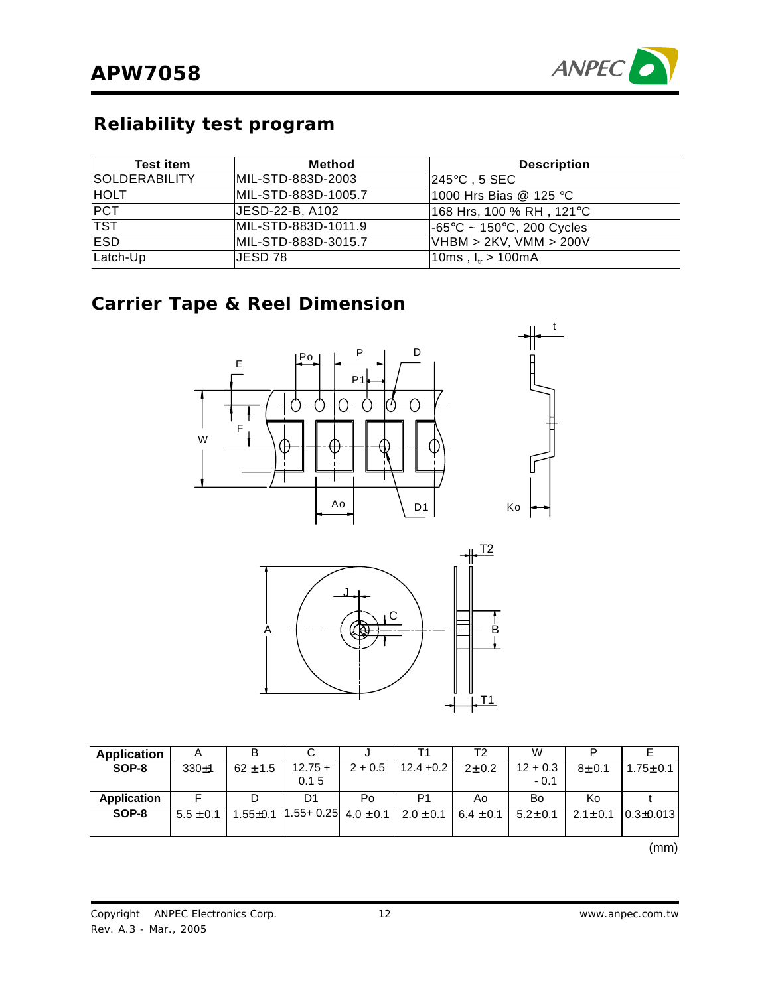

## **Reliability test program**

| <b>Test item</b>     | Method              | <b>Description</b>                              |
|----------------------|---------------------|-------------------------------------------------|
| <b>SOLDERABILITY</b> | MIL-STD-883D-2003   | l245°C . 5 SEC .                                |
| <b>HOLT</b>          | MIL-STD-883D-1005.7 | 1000 Hrs Bias @ 125 °C                          |
| <b>PCT</b>           | JESD-22-B, A102     | 168 Hrs, 100 % RH , 121°C                       |
| <b>TST</b>           | MIL-STD-883D-1011.9 | $ -65^{\circ}$ C ~ 150 $^{\circ}$ C, 200 Cycles |
| <b>IESD</b>          | MIL-STD-883D-3015.7 | VHBM > 2KV, VMM > 200V                          |
| Latch-Up             | IJESD 78.           | 10ms, $I_{ir} > 100$ mA                         |

## **Carrier Tape & Reel Dimension**





| Application        | $\overline{A}$ |              |                                                               |           |              | Т2            | W                    |           |                               |
|--------------------|----------------|--------------|---------------------------------------------------------------|-----------|--------------|---------------|----------------------|-----------|-------------------------------|
| SOP-8              | $330+1$        | $62 + 1.5$   | $12.75 +$<br>0.15                                             | $2 + 0.5$ | $12.4 + 0.2$ | $2 + 0.2$     | $12 + 0.3$<br>$-0.1$ | $8 + 0.1$ | $1.75 \pm 0.1$                |
| <b>Application</b> |                |              | D1                                                            | Po        | P1           | Ao            | Bo                   | Κo        |                               |
| SOP-8              | $5.5 \pm 0.1$  | $1.55 + 0.1$ | $\vert 1.55 + 0.25 \vert 4.0 \pm 0.1 \vert 2.0 \pm 0.1 \vert$ |           |              | 6.4 $\pm$ 0.1 | $5.2 \pm 0.1$        |           | $2.1 \pm 0.1$ 0.3 $\pm$ 0.013 |

(mm)